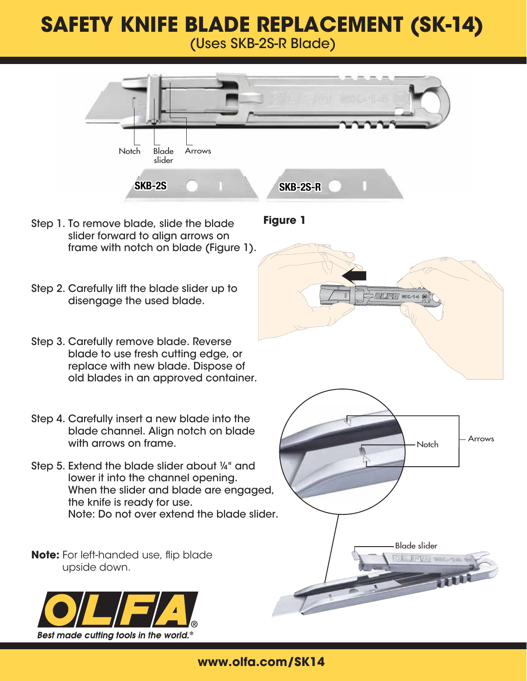## **SAFETY KNIFE BLADE REPLACEMENT (SK-14)**

(Uses SKB-2S-R Blade)



- Step 1. To remove blade, slide the blade slider forward to align arrows on frame with notch on blade (Figure 1).
- Step 2. Carefully lift the blade slider up to disengage the used blade.
- Step 3. Carefully remove blade. Reverse blade to use fresh cutting edge, or replace with new blade. Dispose of old blades in an approved container.
- Step 4. Carefully insert a new blade into the blade channel. Align notch on blade with arrows on frame.
- Step 5. Extend the blade slider about ¼" and lower it into the channel opening. When the slider and blade are engaged, the knife is ready for use. Note: Do not over extend the blade slider.

**Note:** For left-handed use, flip blade upside down.



**www.olfa.com/SK14**